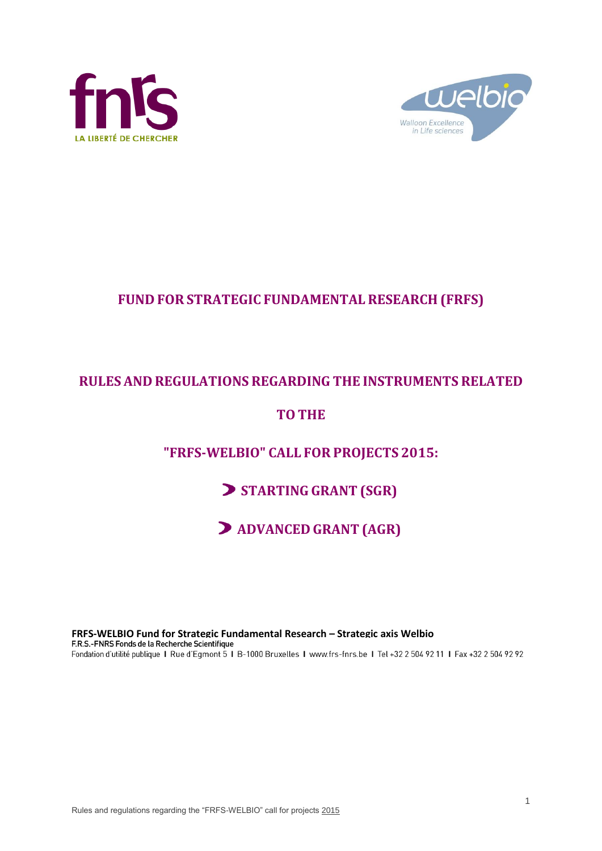



# **FUND FOR STRATEGIC FUNDAMENTAL RESEARCH (FRFS)**

# **RULES AND REGULATIONS REGARDING THE INSTRUMENTS RELATED**

# **TOTHE**

# **"FRFS-WELBIO" CALL FOR PROJECTS 2015:**

# **STARTING GRANT (SGR)**

**ADVANCED GRANT (AGR)**

**FRFS-WELBIO Fund for Strategic Fundamental Research – Strategic axis Welbio**Fondation d'utilité publique I Rue d'Egmont 5 I B-1000 Bruxelles I www.frs-fnrs.be I Tel +32 2 504 92 11 I Fax +32 2 504 92 92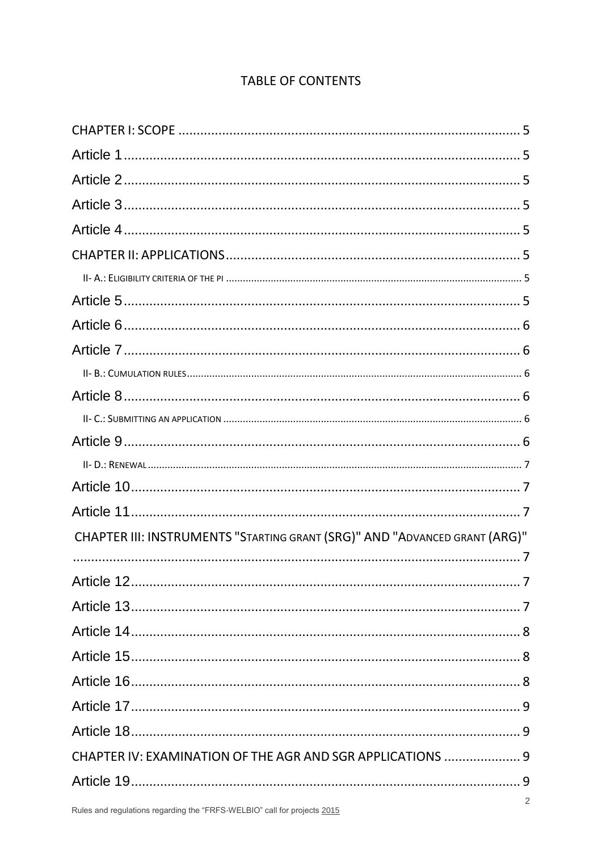# **TABLE OF CONTENTS**

| CHAPTER III: INSTRUMENTS "STARTING GRANT (SRG)" AND "ADVANCED GRANT (ARG)" |
|----------------------------------------------------------------------------|
|                                                                            |
|                                                                            |
|                                                                            |
|                                                                            |
|                                                                            |
|                                                                            |
|                                                                            |
|                                                                            |
|                                                                            |
| CHAPTER IV: EXAMINATION OF THE AGR AND SGR APPLICATIONS  9                 |
|                                                                            |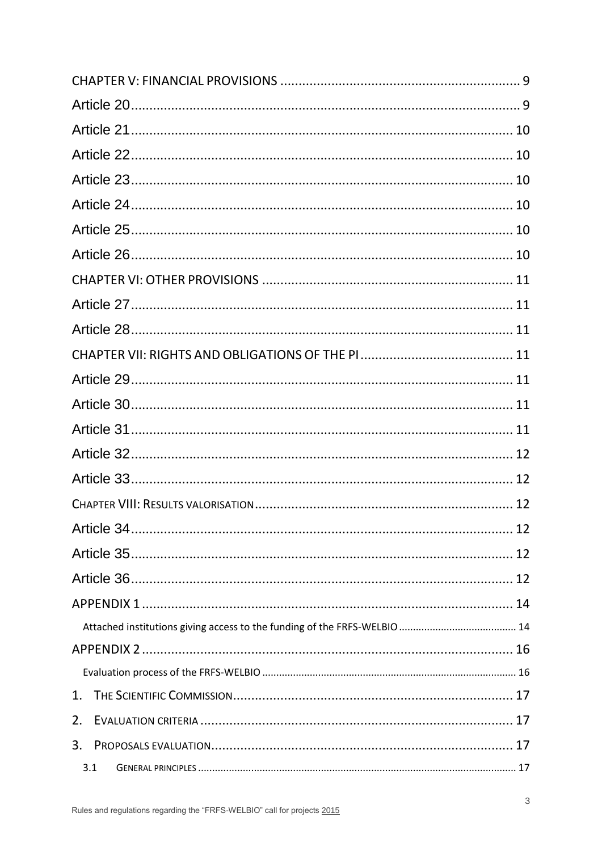| 1.  |  |  |  |
|-----|--|--|--|
| 2.  |  |  |  |
| 3.  |  |  |  |
| 3.1 |  |  |  |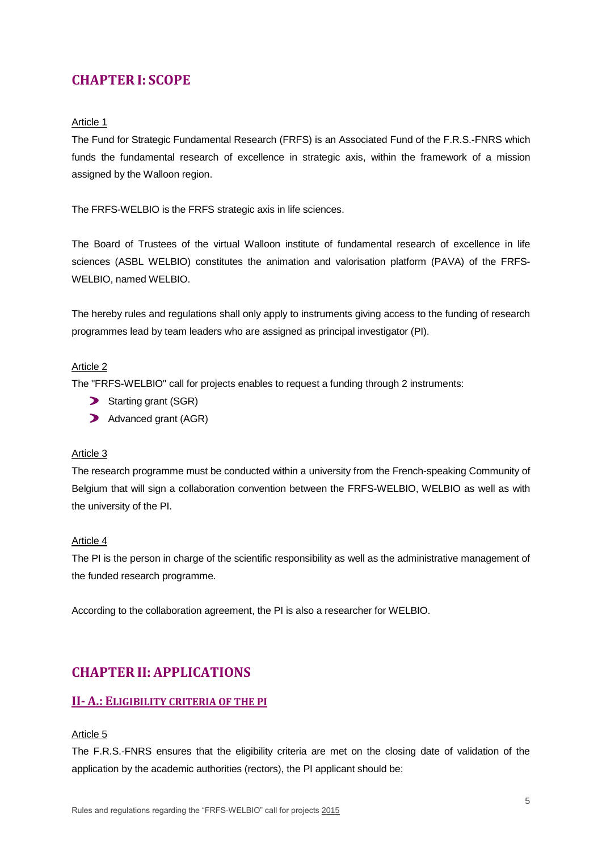## <span id="page-4-0"></span>**CHAPTER I: SCOPE**

#### <span id="page-4-1"></span>Article 1

The Fund for Strategic Fundamental Research (FRFS) is an Associated Fund of the F.R.S.-FNRS which funds the fundamental research of excellence in strategic axis, within the framework of a mission assigned by the Walloon region.

The FRFS-WELBIO is the FRFS strategic axis in life sciences.

The Board of Trustees of the virtual Walloon institute of fundamental research of excellence in life sciences (ASBL WELBIO) constitutes the animation and valorisation platform (PAVA) of the FRFS-WELBIO, named WELBIO.

The hereby rules and regulations shall only apply to instruments giving access to the funding of research programmes lead by team leaders who are assigned as principal investigator (PI).

#### <span id="page-4-2"></span>Article 2

The "FRFS-WELBIO" call for projects enables to request a funding through 2 instruments:

- Starting grant (SGR)
- Advanced grant (AGR)

#### <span id="page-4-3"></span>Article 3

The research programme must be conducted within a university from the French-speaking Community of Belgium that will sign a collaboration convention between the FRFS-WELBIO, WELBIO as well as with the university of the PI.

#### <span id="page-4-4"></span>Article 4

The PI is the person in charge of the scientific responsibility as well as the administrative management of the funded research programme.

According to the collaboration agreement, the PI is also a researcher for WELBIO.

## <span id="page-4-5"></span>**CHAPTER II: APPLICATIONS**

### <span id="page-4-6"></span>**II- A.: ELIGIBILITY CRITERIA OF THE PI**

#### <span id="page-4-7"></span>Article 5

The F.R.S.-FNRS ensures that the eligibility criteria are met on the closing date of validation of the application by the academic authorities (rectors), the PI applicant should be: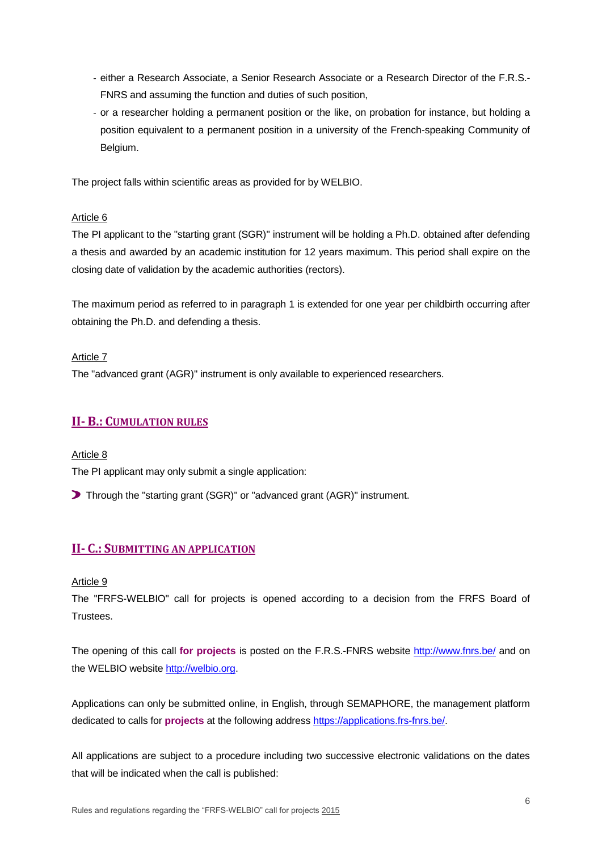- either a Research Associate, a Senior Research Associate or a Research Director of the F.R.S.- FNRS and assuming the function and duties of such position,
- or a researcher holding a permanent position or the like, on probation for instance, but holding a position equivalent to a permanent position in a university of the French-speaking Community of Belgium.

The project falls within scientific areas as provided for by WELBIO.

#### <span id="page-5-0"></span>Article 6

The PI applicant to the "starting grant (SGR)" instrument will be holding a Ph.D. obtained after defending a thesis and awarded by an academic institution for 12 years maximum. This period shall expire on the closing date of validation by the academic authorities (rectors).

The maximum period as referred to in paragraph 1 is extended for one year per childbirth occurring after obtaining the Ph.D. and defending a thesis.

#### <span id="page-5-1"></span>Article 7

The "advanced grant (AGR)" instrument is only available to experienced researchers.

### <span id="page-5-2"></span>**II- B.: CUMULATION RULES**

<span id="page-5-3"></span>Article 8 The PI applicant may only submit a single application:

Through the "starting grant (SGR)" or "advanced grant (AGR)" instrument.

### <span id="page-5-4"></span>**II- C.: SUBMITTING AN APPLICATION**

#### <span id="page-5-5"></span>Article 9

The "FRFS-WELBIO" call for projects is opened according to a decision from the FRFS Board of **Trustees** 

The opening of this call **for projects** is posted on the F.R.S.-FNRS website<http://www.fnrs.be/> and on the WELBIO website [http://welbio.org.](http://welbio.org/)

Applications can only be submitted online, in English, through SEMAPHORE, the management platform dedicated to calls for **projects** at the following address [https://applications.frs-fnrs.be/.](https://applications.frs-fnrs.be/)

All applications are subject to a procedure including two successive electronic validations on the dates that will be indicated when the call is published: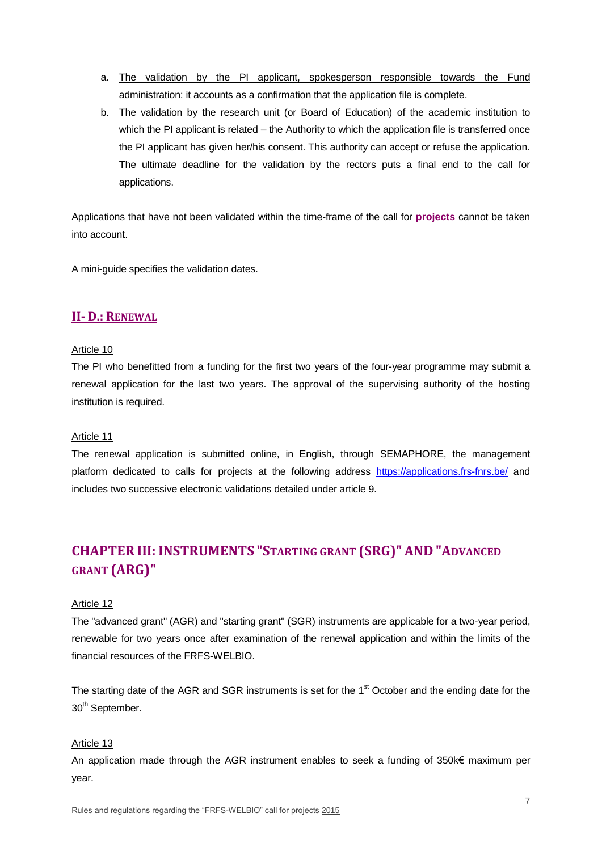- a. The validation by the PI applicant, spokesperson responsible towards the Fund administration: it accounts as a confirmation that the application file is complete.
- b. The validation by the research unit (or Board of Education) of the academic institution to which the PI applicant is related – the Authority to which the application file is transferred once the PI applicant has given her/his consent. This authority can accept or refuse the application. The ultimate deadline for the validation by the rectors puts a final end to the call for applications.

Applications that have not been validated within the time-frame of the call for **projects** cannot be taken into account.

A mini-guide specifies the validation dates.

### <span id="page-6-0"></span>**II- D.: RENEWAL**

#### <span id="page-6-1"></span>Article 10

The PI who benefitted from a funding for the first two years of the four-year programme may submit a renewal application for the last two years. The approval of the supervising authority of the hosting institution is required.

#### <span id="page-6-2"></span>Article 11

The renewal application is submitted online, in English, through SEMAPHORE, the management platform dedicated to calls for projects at the following address <https://applications.frs-fnrs.be/> and includes two successive electronic validations detailed under article 9.

# <span id="page-6-3"></span>**CHAPTER III:INSTRUMENTS "STARTING GRANT (SRG)" AND "ADVANCED GRANT (ARG)"**

#### <span id="page-6-4"></span>Article 12

The "advanced grant" (AGR) and "starting grant" (SGR) instruments are applicable for a two-year period, renewable for two years once after examination of the renewal application and within the limits of the financial resources of the FRFS-WELBIO.

The starting date of the AGR and SGR instruments is set for the 1<sup>st</sup> October and the ending date for the 30<sup>th</sup> September.

#### <span id="page-6-5"></span>Article 13

An application made through the AGR instrument enables to seek a funding of 350k€ maximum per year.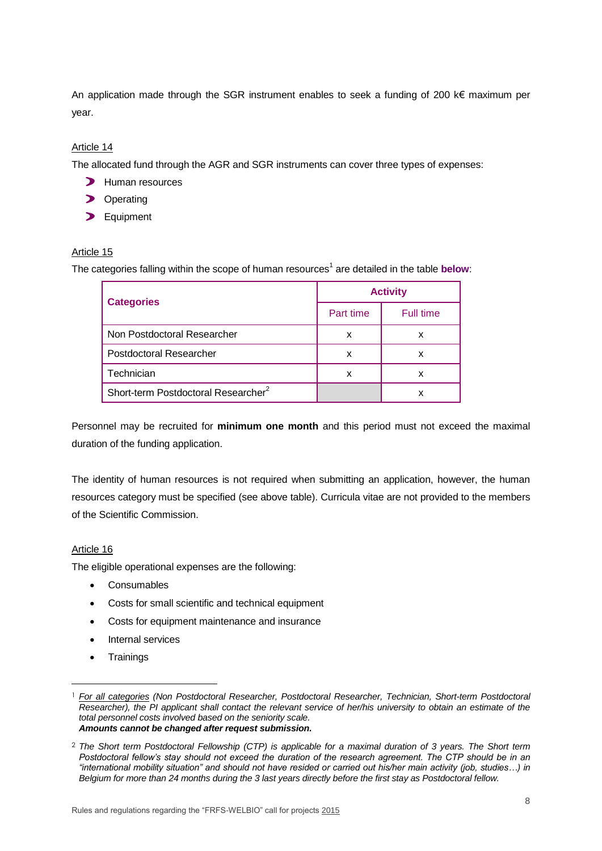An application made through the SGR instrument enables to seek a funding of 200 k€ maximum per year.

### <span id="page-7-0"></span>Article 14

The allocated fund through the AGR and SGR instruments can cover three types of expenses:

- **>** Human resources
- **D** Operating
- > Equipment

#### <span id="page-7-1"></span>Article 15

The categories falling within the scope of human resources<sup>1</sup> are detailed in the table **below**:

| <b>Categories</b>                               | <b>Activity</b> |           |
|-------------------------------------------------|-----------------|-----------|
|                                                 | Part time       | Full time |
| Non Postdoctoral Researcher                     | x               | x         |
| <b>Postdoctoral Researcher</b>                  | x               |           |
| Technician                                      | x               | x         |
| Short-term Postdoctoral Researcher <sup>2</sup> |                 |           |

Personnel may be recruited for **minimum one month** and this period must not exceed the maximal duration of the funding application.

The identity of human resources is not required when submitting an application, however, the human resources category must be specified (see above table). Curricula vitae are not provided to the members of the Scientific Commission.

#### <span id="page-7-2"></span>Article 16

 $\overline{a}$ 

The eligible operational expenses are the following:

- Consumables
- Costs for small scientific and technical equipment
- Costs for equipment maintenance and insurance
- Internal services
- **Trainings**

<sup>1</sup> *For all categories (Non Postdoctoral Researcher, Postdoctoral Researcher, Technician, Short-term Postdoctoral Researcher), the PI applicant shall contact the relevant service of her/his university to obtain an estimate of the total personnel costs involved based on the seniority scale. Amounts cannot be changed after request submission.*

<sup>2</sup> *The Short term Postdoctoral Fellowship (CTP) is applicable for a maximal duration of 3 years. The Short term Postdoctoral fellow's stay should not exceed the duration of the research agreement. The CTP should be in an "international mobility situation" and should not have resided or carried out his/her main activity (job, studies…) in Belgium for more than 24 months during the 3 last years directly before the first stay as Postdoctoral fellow.*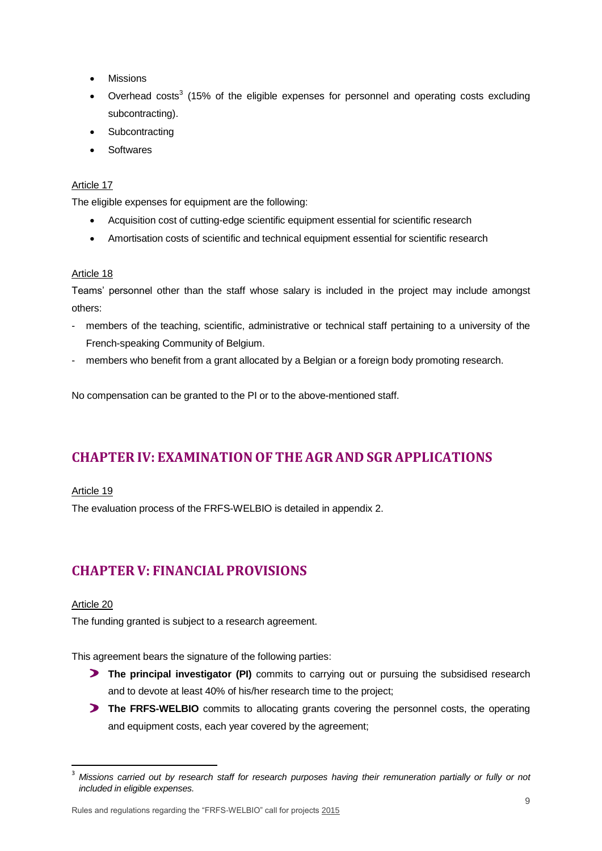- Missions
- Overhead costs<sup>3</sup> (15% of the eligible expenses for personnel and operating costs excluding subcontracting).
- **Subcontracting**
- **Softwares**

#### <span id="page-8-0"></span>Article 17

The eligible expenses for equipment are the following:

- Acquisition cost of cutting-edge scientific equipment essential for scientific research
- Amortisation costs of scientific and technical equipment essential for scientific research

#### <span id="page-8-1"></span>Article 18

Teams' personnel other than the staff whose salary is included in the project may include amongst others:

- members of the teaching, scientific, administrative or technical staff pertaining to a university of the French-speaking Community of Belgium.
- members who benefit from a grant allocated by a Belgian or a foreign body promoting research.

No compensation can be granted to the PI or to the above-mentioned staff.

## <span id="page-8-2"></span>**CHAPTER IV: EXAMINATIONOF THE AGR AND SGR APPLICATIONS**

#### <span id="page-8-3"></span>Article 19

The evaluation process of the FRFS-WELBIO is detailed in appendix 2.

## <span id="page-8-4"></span>**CHAPTER V: FINANCIAL PROVISIONS**

#### <span id="page-8-5"></span>Article 20

 $\overline{\phantom{a}}$ 

The funding granted is subject to a research agreement.

This agreement bears the signature of the following parties:

- **The principal investigator (PI)** commits to carrying out or pursuing the subsidised research and to devote at least 40% of his/her research time to the project;
- **The FRFS-WELBIO** commits to allocating grants covering the personnel costs, the operating and equipment costs, each year covered by the agreement;

<sup>3</sup> *Missions carried out by research staff for research purposes having their remuneration partially or fully or not included in eligible expenses.*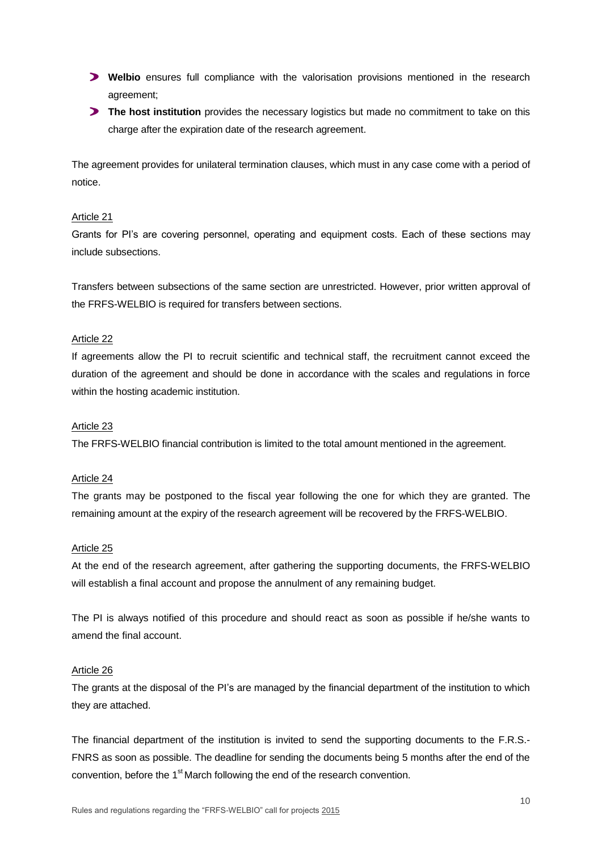- **Welbio** ensures full compliance with the valorisation provisions mentioned in the research agreement;
- **The host institution** provides the necessary logistics but made no commitment to take on this charge after the expiration date of the research agreement.

The agreement provides for unilateral termination clauses, which must in any case come with a period of notice.

#### <span id="page-9-0"></span>Article 21

Grants for PI's are covering personnel, operating and equipment costs. Each of these sections may include subsections.

Transfers between subsections of the same section are unrestricted. However, prior written approval of the FRFS-WELBIO is required for transfers between sections.

#### <span id="page-9-1"></span>Article 22

If agreements allow the PI to recruit scientific and technical staff, the recruitment cannot exceed the duration of the agreement and should be done in accordance with the scales and regulations in force within the hosting academic institution.

#### <span id="page-9-2"></span>Article 23

The FRFS-WELBIO financial contribution is limited to the total amount mentioned in the agreement.

#### <span id="page-9-3"></span>Article 24

The grants may be postponed to the fiscal year following the one for which they are granted. The remaining amount at the expiry of the research agreement will be recovered by the FRFS-WELBIO.

#### <span id="page-9-4"></span>Article 25

At the end of the research agreement, after gathering the supporting documents, the FRFS-WELBIO will establish a final account and propose the annulment of any remaining budget.

The PI is always notified of this procedure and should react as soon as possible if he/she wants to amend the final account.

#### <span id="page-9-5"></span>Article 26

The grants at the disposal of the PI's are managed by the financial department of the institution to which they are attached.

The financial department of the institution is invited to send the supporting documents to the F.R.S.- FNRS as soon as possible. The deadline for sending the documents being 5 months after the end of the convention, before the 1<sup>st</sup> March following the end of the research convention.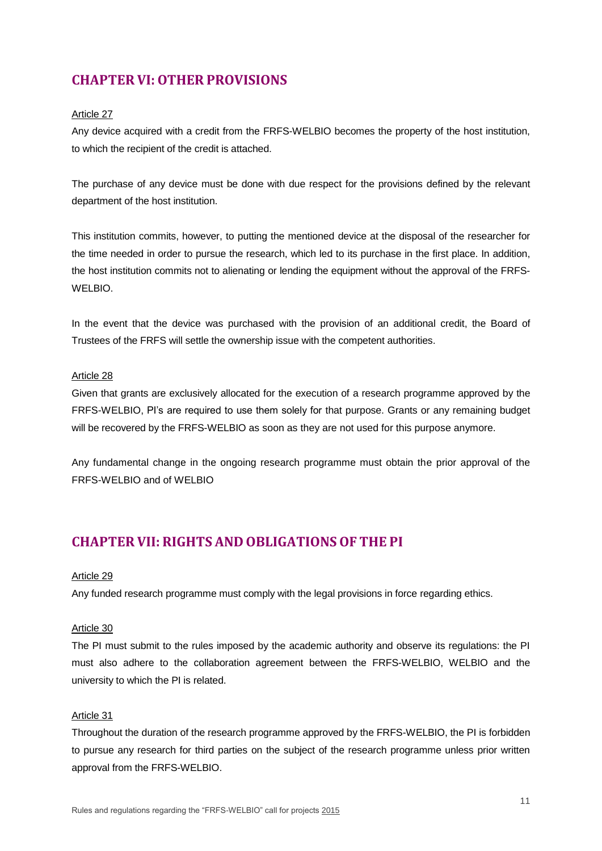# <span id="page-10-0"></span>**CHAPTER VI:OTHER PROVISIONS**

#### <span id="page-10-1"></span>Article 27

Any device acquired with a credit from the FRFS-WELBIO becomes the property of the host institution, to which the recipient of the credit is attached.

The purchase of any device must be done with due respect for the provisions defined by the relevant department of the host institution.

This institution commits, however, to putting the mentioned device at the disposal of the researcher for the time needed in order to pursue the research, which led to its purchase in the first place. In addition, the host institution commits not to alienating or lending the equipment without the approval of the FRFS-WELBIO.

In the event that the device was purchased with the provision of an additional credit, the Board of Trustees of the FRFS will settle the ownership issue with the competent authorities.

#### <span id="page-10-2"></span>Article 28

Given that grants are exclusively allocated for the execution of a research programme approved by the FRFS-WELBIO, PI's are required to use them solely for that purpose. Grants or any remaining budget will be recovered by the FRFS-WELBIO as soon as they are not used for this purpose anymore.

Any fundamental change in the ongoing research programme must obtain the prior approval of the FRFS-WELBIO and of WELBIO

## <span id="page-10-3"></span>**CHAPTER VII: RIGHTS AND OBLIGATIONSOF THE PI**

#### <span id="page-10-4"></span>Article 29

Any funded research programme must comply with the legal provisions in force regarding ethics.

#### <span id="page-10-5"></span>Article 30

The PI must submit to the rules imposed by the academic authority and observe its regulations: the PI must also adhere to the collaboration agreement between the FRFS-WELBIO, WELBIO and the university to which the PI is related.

#### <span id="page-10-6"></span>Article 31

Throughout the duration of the research programme approved by the FRFS-WELBIO, the PI is forbidden to pursue any research for third parties on the subject of the research programme unless prior written approval from the FRFS-WELBIO.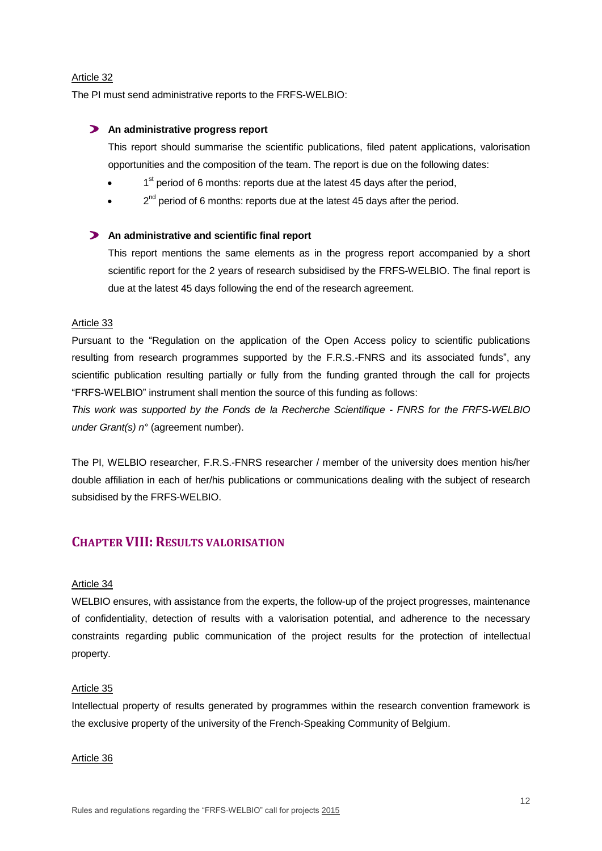#### <span id="page-11-0"></span>Article 32

The PI must send administrative reports to the FRFS-WELBIO:

#### **An administrative progress report**

This report should summarise the scientific publications, filed patent applications, valorisation opportunities and the composition of the team. The report is due on the following dates:

- $\bullet$  1<sup>st</sup> period of 6 months: reports due at the latest 45 days after the period,
- $\bullet$   $2^{nd}$  period of 6 months: reports due at the latest 45 days after the period.

#### **An administrative and scientific final report**

This report mentions the same elements as in the progress report accompanied by a short scientific report for the 2 years of research subsidised by the FRFS-WELBIO. The final report is due at the latest 45 days following the end of the research agreement.

#### <span id="page-11-1"></span>Article 33

Pursuant to the "Regulation on the application of the Open Access policy to scientific publications resulting from research programmes supported by the F.R.S.-FNRS and its associated funds", any scientific publication resulting partially or fully from the funding granted through the call for projects "FRFS-WELBIO" instrument shall mention the source of this funding as follows:

*This work was supported by the Fonds de la Recherche Scientifique - FNRS for the FRFS-WELBIO under Grant(s) n°* (agreement number).

The PI, WELBIO researcher, F.R.S.-FNRS researcher / member of the university does mention his/her double affiliation in each of her/his publications or communications dealing with the subject of research subsidised by the FRFS-WELBIO.

### <span id="page-11-2"></span>**CHAPTER VIII: RESULTS VALORISATION**

#### <span id="page-11-3"></span>Article 34

WELBIO ensures, with assistance from the experts, the follow-up of the project progresses, maintenance of confidentiality, detection of results with a valorisation potential, and adherence to the necessary constraints regarding public communication of the project results for the protection of intellectual property.

#### <span id="page-11-4"></span>Article 35

Intellectual property of results generated by programmes within the research convention framework is the exclusive property of the university of the French-Speaking Community of Belgium.

#### <span id="page-11-5"></span>Article 36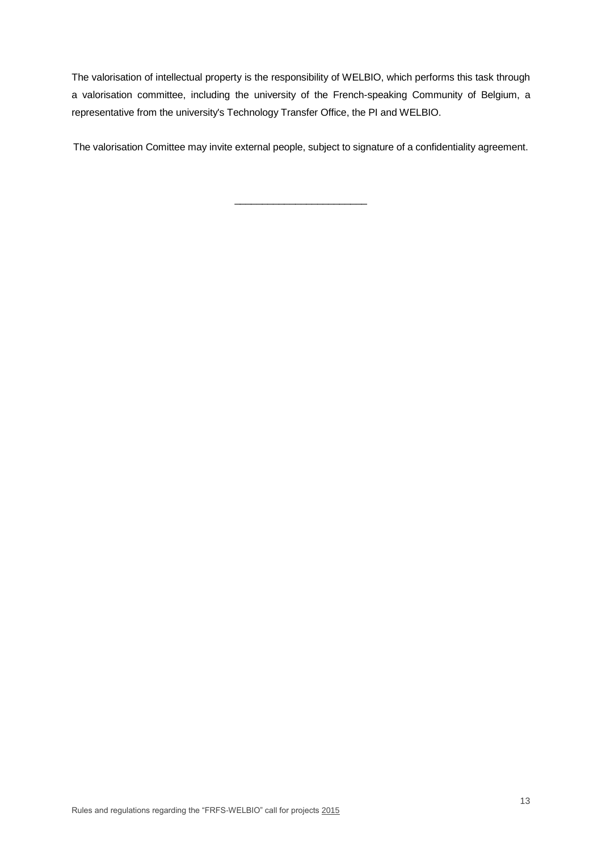The valorisation of intellectual property is the responsibility of WELBIO, which performs this task through a valorisation committee, including the university of the French-speaking Community of Belgium, a representative from the university's Technology Transfer Office, the PI and WELBIO.

The valorisation Comittee may invite external people, subject to signature of a confidentiality agreement.

\_\_\_\_\_\_\_\_\_\_\_\_\_\_\_\_\_\_\_\_\_\_\_\_

Rules and regulations regarding the "FRFS-WELBIO" call for projects 2015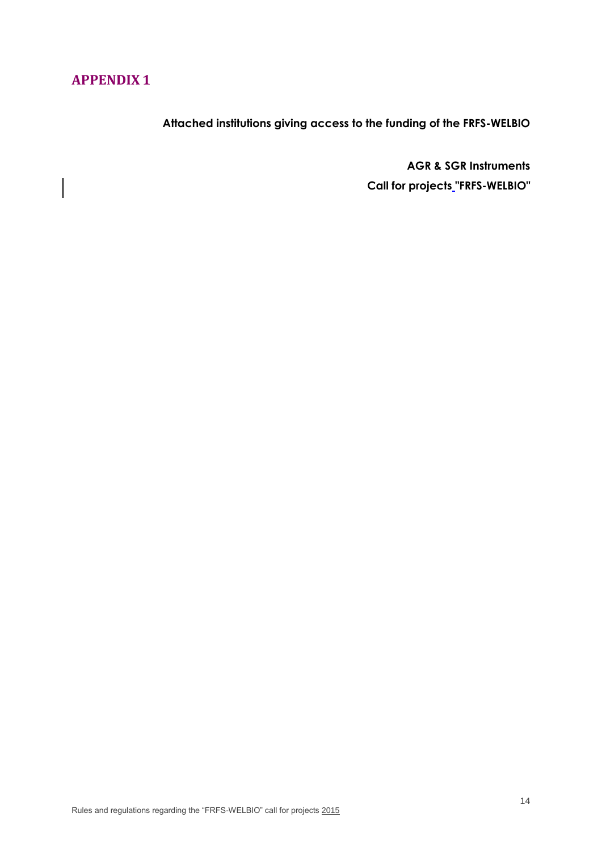# <span id="page-13-1"></span><span id="page-13-0"></span>**APPENDIX 1**

**Attached institutions giving access to the funding of the FRFS-WELBIO**

**AGR & SGR Instruments Call for projects "FRFS-WELBIO"**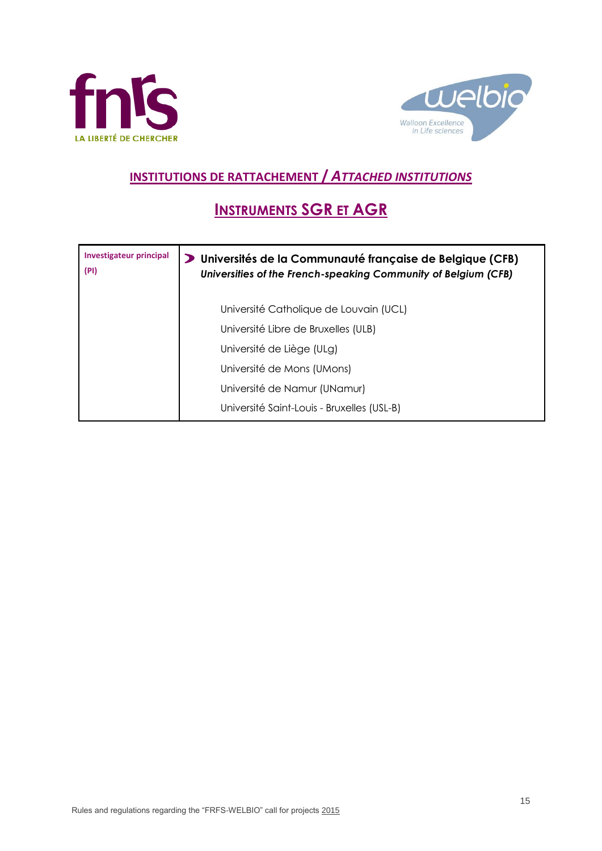



# **INSTITUTIONS DE RATTACHEMENT /** *ATTACHED INSTITUTIONS*

# **INSTRUMENTS SGR ET AGR**

| <b>Investigateur principal</b><br>(PI) | D Universités de la Communauté française de Belgique (CFB)<br>Universities of the French-speaking Community of Belgium (CFB) |
|----------------------------------------|------------------------------------------------------------------------------------------------------------------------------|
|                                        | Université Catholique de Louvain (UCL)                                                                                       |
|                                        | Université Libre de Bruxelles (ULB)                                                                                          |
|                                        | Université de Liège (ULg)                                                                                                    |
|                                        | Université de Mons (UMons)                                                                                                   |
|                                        | Université de Namur (UNamur)                                                                                                 |
|                                        | Université Saint-Louis - Bruxelles (USL-B)                                                                                   |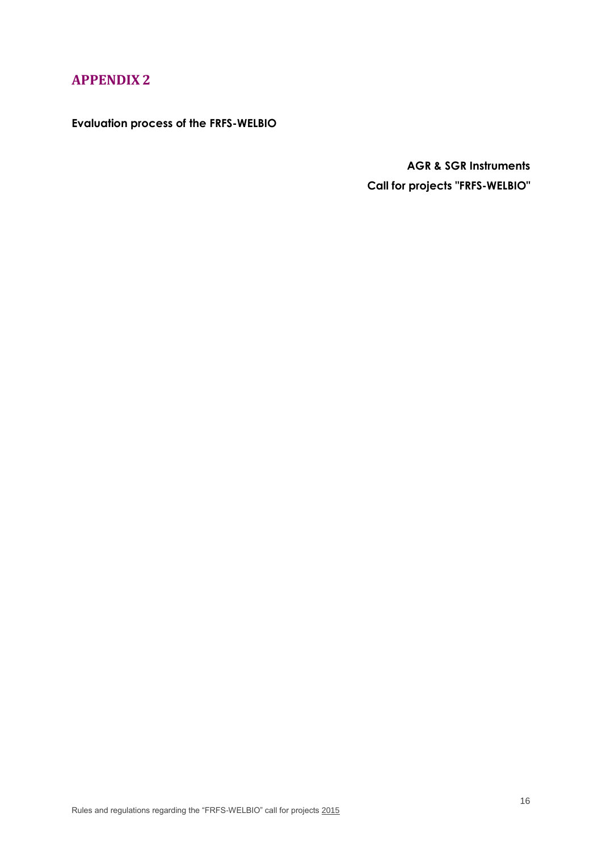# <span id="page-15-0"></span>**APPENDIX 2**

<span id="page-15-1"></span>**Evaluation process of the FRFS-WELBIO**

**AGR & SGR Instruments Call for projects "FRFS-WELBIO"**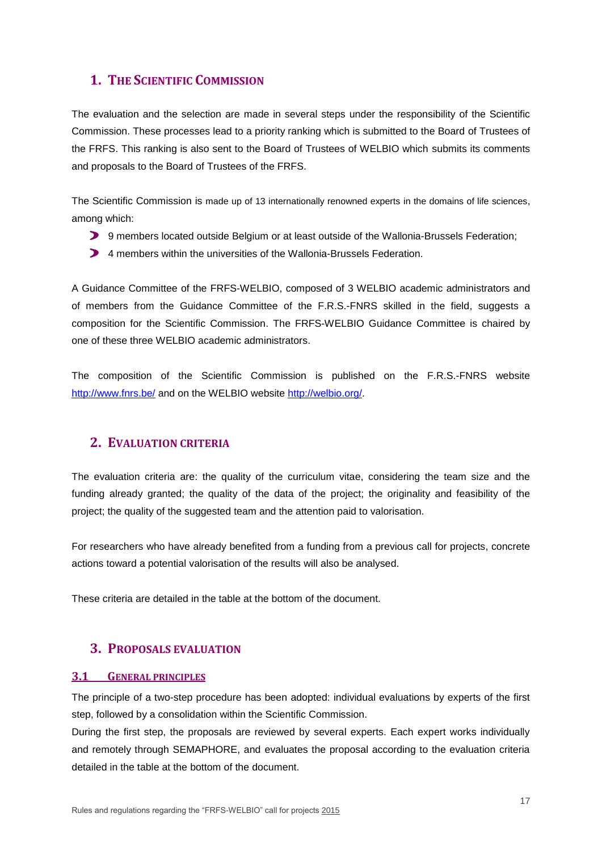### <span id="page-16-0"></span>**1. THE SCIENTIFIC COMMISSION**

The evaluation and the selection are made in several steps under the responsibility of the Scientific Commission. These processes lead to a priority ranking which is submitted to the Board of Trustees of the FRFS. This ranking is also sent to the Board of Trustees of WELBIO which submits its comments and proposals to the Board of Trustees of the FRFS.

The Scientific Commission is made up of 13 internationally renowned experts in the domains of life sciences, among which:

- 9 members located outside Belgium or at least outside of the Wallonia-Brussels Federation;
- 4 members within the universities of the Wallonia-Brussels Federation.

A Guidance Committee of the FRFS-WELBIO, composed of 3 WELBIO academic administrators and of members from the Guidance Committee of the F.R.S.-FNRS skilled in the field, suggests a composition for the Scientific Commission. The FRFS-WELBIO Guidance Committee is chaired by one of these three WELBIO academic administrators.

The composition of the Scientific Commission is published on the F.R.S.-FNRS website <http://www.fnrs.be/> and on the WELBIO website [http://welbio.org/.](http://welbio.org/)

### <span id="page-16-1"></span>**2. EVALUATION CRITERIA**

The evaluation criteria are: the quality of the curriculum vitae, considering the team size and the funding already granted; the quality of the data of the project; the originality and feasibility of the project; the quality of the suggested team and the attention paid to valorisation.

For researchers who have already benefited from a funding from a previous call for projects, concrete actions toward a potential valorisation of the results will also be analysed.

These criteria are detailed in the table at the bottom of the document.

### <span id="page-16-2"></span>**3. PROPOSALS EVALUATION**

### <span id="page-16-3"></span>**3.1 GENERAL PRINCIPLES**

The principle of a two-step procedure has been adopted: individual evaluations by experts of the first step, followed by a consolidation within the Scientific Commission.

During the first step, the proposals are reviewed by several experts. Each expert works individually and remotely through SEMAPHORE, and evaluates the proposal according to the evaluation criteria detailed in the table at the bottom of the document.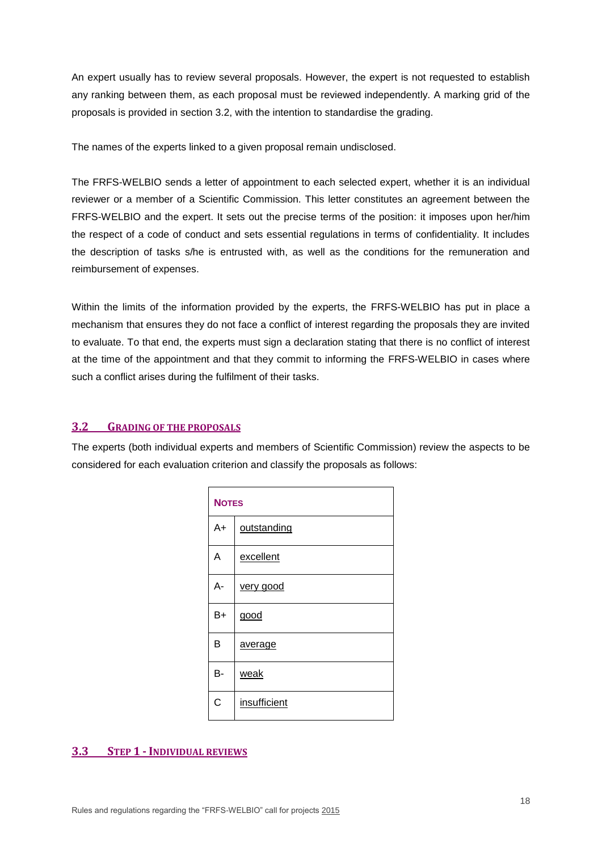An expert usually has to review several proposals. However, the expert is not requested to establish any ranking between them, as each proposal must be reviewed independently. A marking grid of the proposals is provided in section 3.2, with the intention to standardise the grading.

The names of the experts linked to a given proposal remain undisclosed.

The FRFS-WELBIO sends a letter of appointment to each selected expert, whether it is an individual reviewer or a member of a Scientific Commission. This letter constitutes an agreement between the FRFS-WELBIO and the expert. It sets out the precise terms of the position: it imposes upon her/him the respect of a code of conduct and sets essential regulations in terms of confidentiality. It includes the description of tasks s/he is entrusted with, as well as the conditions for the remuneration and reimbursement of expenses.

Within the limits of the information provided by the experts, the FRFS-WELBIO has put in place a mechanism that ensures they do not face a conflict of interest regarding the proposals they are invited to evaluate. To that end, the experts must sign a declaration stating that there is no conflict of interest at the time of the appointment and that they commit to informing the FRFS-WELBIO in cases where such a conflict arises during the fulfilment of their tasks.

#### <span id="page-17-0"></span>**3.2 GRADING OF THE PROPOSALS**

The experts (both individual experts and members of Scientific Commission) review the aspects to be considered for each evaluation criterion and classify the proposals as follows:

| <b>NOTES</b> |              |  |
|--------------|--------------|--|
| A+           | outstanding  |  |
| А            | excellent    |  |
| А-           | very good    |  |
| $B+$         | good         |  |
| В            | average      |  |
| B-           | weak         |  |
| C            | insufficient |  |

### <span id="page-17-1"></span>**3.3 STEP 1 -INDIVIDUAL REVIEWS**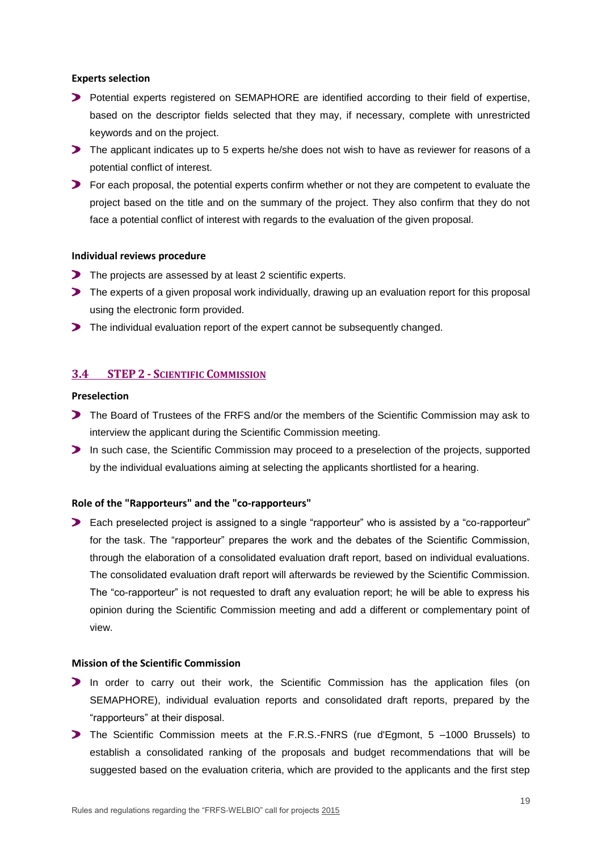#### **Experts selection**

- **Potential experts registered on SEMAPHORE are identified according to their field of expertise,** based on the descriptor fields selected that they may, if necessary, complete with unrestricted keywords and on the project.
- The applicant indicates up to 5 experts he/she does not wish to have as reviewer for reasons of a potential conflict of interest.
- For each proposal, the potential experts confirm whether or not they are competent to evaluate the project based on the title and on the summary of the project. They also confirm that they do not face a potential conflict of interest with regards to the evaluation of the given proposal.

#### **Individual reviews procedure**

- The projects are assessed by at least 2 scientific experts.
- The experts of a given proposal work individually, drawing up an evaluation report for this proposal using the electronic form provided.
- The individual evaluation report of the expert cannot be subsequently changed.

### <span id="page-18-0"></span>**3.4 STEP 2 - SCIENTIFIC COMMISSION**

#### **Preselection**

- The Board of Trustees of the FRFS and/or the members of the Scientific Commission may ask to interview the applicant during the Scientific Commission meeting.
- In such case, the Scientific Commission may proceed to a preselection of the projects, supported by the individual evaluations aiming at selecting the applicants shortlisted for a hearing.

#### **Role of the "Rapporteurs" and the "co-rapporteurs"**

Each preselected project is assigned to a single "rapporteur" who is assisted by a "co-rapporteur" for the task. The "rapporteur" prepares the work and the debates of the Scientific Commission, through the elaboration of a consolidated evaluation draft report, based on individual evaluations. The consolidated evaluation draft report will afterwards be reviewed by the Scientific Commission. The "co-rapporteur" is not requested to draft any evaluation report; he will be able to express his opinion during the Scientific Commission meeting and add a different or complementary point of view.

#### **Mission of the Scientific Commission**

- In order to carry out their work, the Scientific Commission has the application files (on SEMAPHORE), individual evaluation reports and consolidated draft reports, prepared by the "rapporteurs" at their disposal.
- The Scientific Commission meets at the F.R.S.-FNRS (rue d'Egmont, 5 –1000 Brussels) to establish a consolidated ranking of the proposals and budget recommendations that will be suggested based on the evaluation criteria, which are provided to the applicants and the first step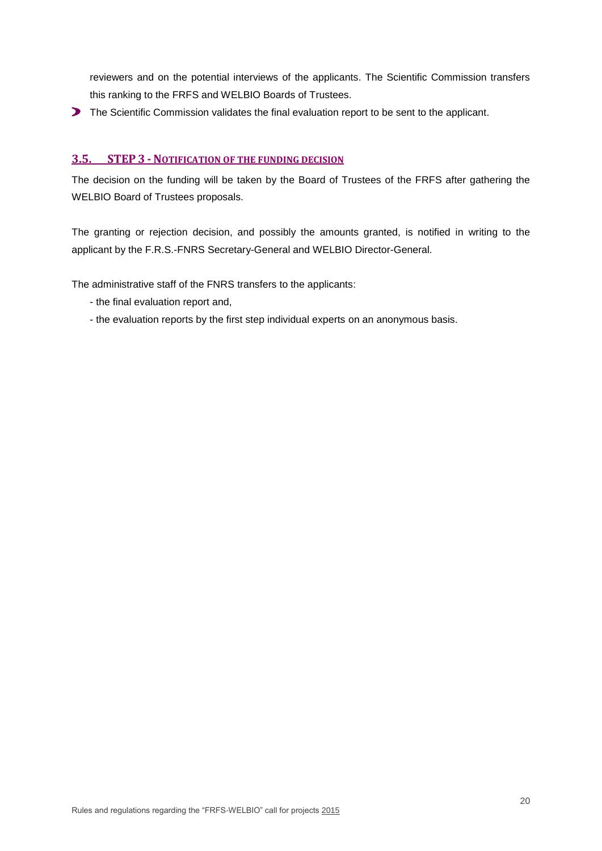reviewers and on the potential interviews of the applicants. The Scientific Commission transfers this ranking to the FRFS and WELBIO Boards of Trustees.

The Scientific Commission validates the final evaluation report to be sent to the applicant.

### <span id="page-19-0"></span>**3.5. STEP 3 - NOTIFICATION OF THE FUNDING DECISION**

The decision on the funding will be taken by the Board of Trustees of the FRFS after gathering the WELBIO Board of Trustees proposals.

The granting or rejection decision, and possibly the amounts granted, is notified in writing to the applicant by the F.R.S.-FNRS Secretary-General and WELBIO Director-General.

The administrative staff of the FNRS transfers to the applicants:

- the final evaluation report and,
- the evaluation reports by the first step individual experts on an anonymous basis.